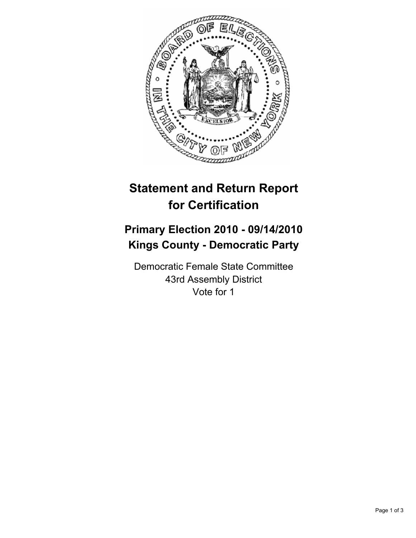

## **Statement and Return Report for Certification**

## **Primary Election 2010 - 09/14/2010 Kings County - Democratic Party**

Democratic Female State Committee 43rd Assembly District Vote for 1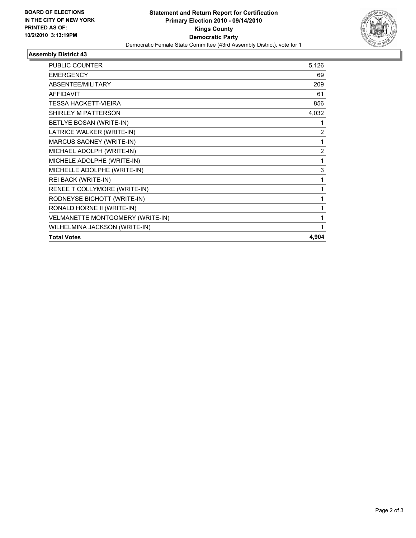

## **Assembly District 43**

| PUBLIC COUNTER                   | 5,126 |
|----------------------------------|-------|
| <b>EMERGENCY</b>                 | 69    |
| <b>ABSENTEE/MILITARY</b>         | 209   |
| <b>AFFIDAVIT</b>                 | 61    |
| TESSA HACKETT-VIEIRA             | 856   |
| SHIRLEY M PATTERSON              | 4,032 |
| BETLYE BOSAN (WRITE-IN)          | 1     |
| LATRICE WALKER (WRITE-IN)        | 2     |
| MARCUS SAONEY (WRITE-IN)         | 1     |
| MICHAEL ADOLPH (WRITE-IN)        | 2     |
| MICHELE ADOLPHE (WRITE-IN)       | 1     |
| MICHELLE ADOLPHE (WRITE-IN)      | 3     |
| REI BACK (WRITE-IN)              | 1     |
| RENEE T COLLYMORE (WRITE-IN)     |       |
| RODNEYSE BICHOTT (WRITE-IN)      | 1     |
| RONALD HORNE II (WRITE-IN)       | 1     |
| VELMANETTE MONTGOMERY (WRITE-IN) | 1     |
| WILHELMINA JACKSON (WRITE-IN)    | 1     |
| <b>Total Votes</b>               | 4,904 |